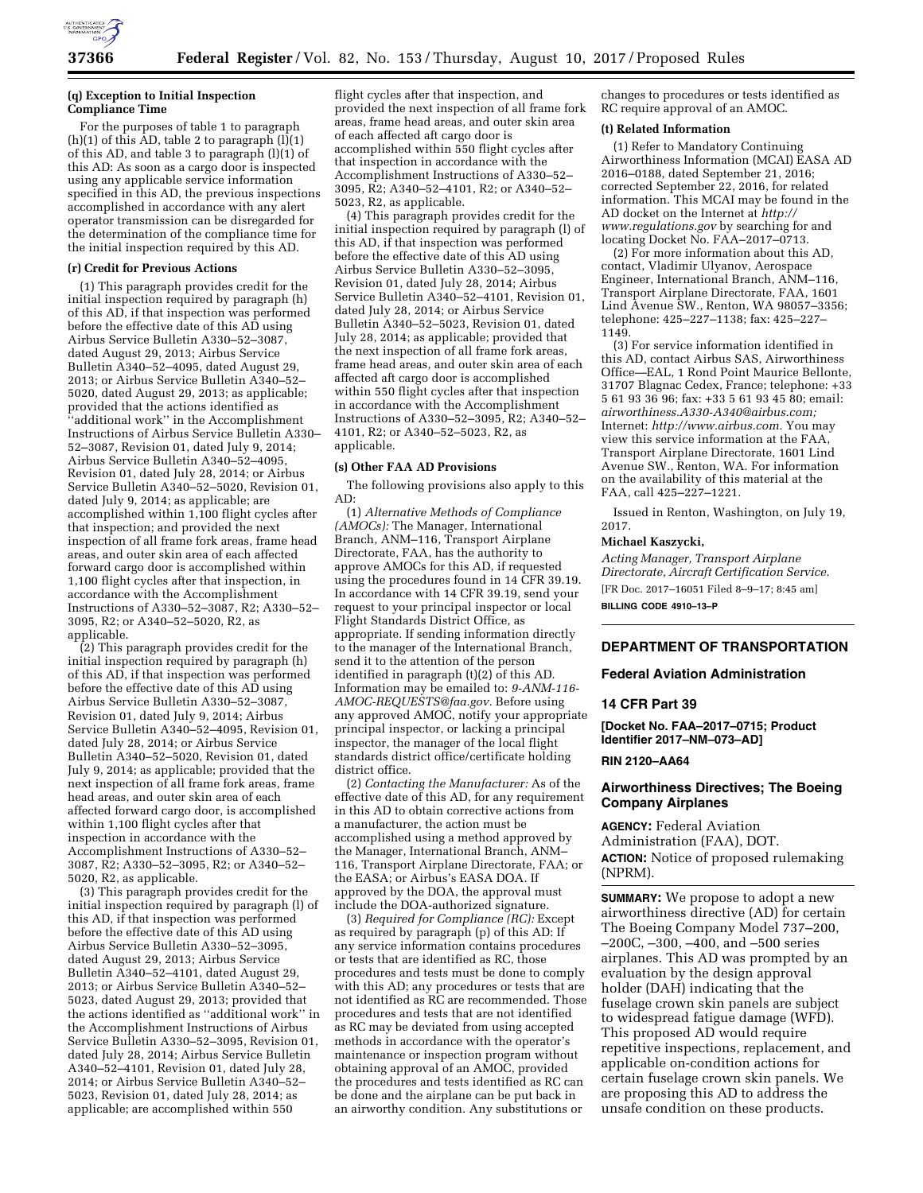

### **(q) Exception to Initial Inspection Compliance Time**

For the purposes of table 1 to paragraph  $(h)(1)$  of this AD, table 2 to paragraph  $(l)(1)$ of this AD, and table 3 to paragraph (l)(1) of this AD: As soon as a cargo door is inspected using any applicable service information specified in this AD, the previous inspections accomplished in accordance with any alert operator transmission can be disregarded for the determination of the compliance time for the initial inspection required by this AD.

#### **(r) Credit for Previous Actions**

(1) This paragraph provides credit for the initial inspection required by paragraph (h) of this AD, if that inspection was performed before the effective date of this AD using Airbus Service Bulletin A330–52–3087, dated August 29, 2013; Airbus Service Bulletin A340–52–4095, dated August 29, 2013; or Airbus Service Bulletin A340–52– 5020, dated August 29, 2013; as applicable; provided that the actions identified as 'additional work" in the Accomplishment Instructions of Airbus Service Bulletin A330– 52–3087, Revision 01, dated July 9, 2014; Airbus Service Bulletin A340–52–4095, Revision 01, dated July 28, 2014; or Airbus Service Bulletin A340–52–5020, Revision 01, dated July 9, 2014; as applicable; are accomplished within 1,100 flight cycles after that inspection; and provided the next inspection of all frame fork areas, frame head areas, and outer skin area of each affected forward cargo door is accomplished within 1,100 flight cycles after that inspection, in accordance with the Accomplishment Instructions of A330–52–3087, R2; A330–52– 3095, R2; or A340–52–5020, R2, as applicable.

(2) This paragraph provides credit for the initial inspection required by paragraph (h) of this AD, if that inspection was performed before the effective date of this AD using Airbus Service Bulletin A330–52–3087, Revision 01, dated July 9, 2014; Airbus Service Bulletin A340–52–4095, Revision 01, dated July 28, 2014; or Airbus Service Bulletin A340–52–5020, Revision 01, dated July 9, 2014; as applicable; provided that the next inspection of all frame fork areas, frame head areas, and outer skin area of each affected forward cargo door, is accomplished within 1,100 flight cycles after that inspection in accordance with the Accomplishment Instructions of A330–52– 3087, R2; A330–52–3095, R2; or A340–52– 5020, R2, as applicable.

(3) This paragraph provides credit for the initial inspection required by paragraph (l) of this AD, if that inspection was performed before the effective date of this AD using Airbus Service Bulletin A330–52–3095, dated August 29, 2013; Airbus Service Bulletin A340–52–4101, dated August 29, 2013; or Airbus Service Bulletin A340–52– 5023, dated August 29, 2013; provided that the actions identified as ''additional work'' in the Accomplishment Instructions of Airbus Service Bulletin A330–52–3095, Revision 01, dated July 28, 2014; Airbus Service Bulletin A340–52–4101, Revision 01, dated July 28, 2014; or Airbus Service Bulletin A340–52– 5023, Revision 01, dated July 28, 2014; as applicable; are accomplished within 550

flight cycles after that inspection, and provided the next inspection of all frame fork areas, frame head areas, and outer skin area of each affected aft cargo door is accomplished within 550 flight cycles after that inspection in accordance with the Accomplishment Instructions of A330–52– 3095, R2; A340–52–4101, R2; or A340–52– 5023, R2, as applicable.

(4) This paragraph provides credit for the initial inspection required by paragraph (l) of this AD, if that inspection was performed before the effective date of this AD using Airbus Service Bulletin A330–52–3095, Revision 01, dated July 28, 2014; Airbus Service Bulletin A340–52–4101, Revision 01, dated July 28, 2014; or Airbus Service Bulletin A340–52–5023, Revision 01, dated July 28, 2014; as applicable; provided that the next inspection of all frame fork areas, frame head areas, and outer skin area of each affected aft cargo door is accomplished within 550 flight cycles after that inspection in accordance with the Accomplishment Instructions of A330–52–3095, R2; A340–52– 4101, R2; or A340–52–5023, R2, as applicable.

### **(s) Other FAA AD Provisions**

The following provisions also apply to this AD:

(1) *Alternative Methods of Compliance (AMOCs):* The Manager, International Branch, ANM–116, Transport Airplane Directorate, FAA, has the authority to approve AMOCs for this AD, if requested using the procedures found in 14 CFR 39.19. In accordance with 14 CFR 39.19, send your request to your principal inspector or local Flight Standards District Office, as appropriate. If sending information directly to the manager of the International Branch, send it to the attention of the person identified in paragraph (t)(2) of this AD. Information may be emailed to: *[9-ANM-116-](mailto:9-ANM-116-AMOC-REQUESTS@faa.gov) [AMOC-REQUESTS@faa.gov.](mailto:9-ANM-116-AMOC-REQUESTS@faa.gov)* Before using any approved AMOC, notify your appropriate principal inspector, or lacking a principal inspector, the manager of the local flight standards district office/certificate holding district office.

(2) *Contacting the Manufacturer:* As of the effective date of this AD, for any requirement in this AD to obtain corrective actions from a manufacturer, the action must be accomplished using a method approved by the Manager, International Branch, ANM– 116, Transport Airplane Directorate, FAA; or the EASA; or Airbus's EASA DOA. If approved by the DOA, the approval must include the DOA-authorized signature.

(3) *Required for Compliance (RC):* Except as required by paragraph (p) of this AD: If any service information contains procedures or tests that are identified as RC, those procedures and tests must be done to comply with this AD; any procedures or tests that are not identified as RC are recommended. Those procedures and tests that are not identified as RC may be deviated from using accepted methods in accordance with the operator's maintenance or inspection program without obtaining approval of an AMOC, provided the procedures and tests identified as RC can be done and the airplane can be put back in an airworthy condition. Any substitutions or

changes to procedures or tests identified as RC require approval of an AMOC.

### **(t) Related Information**

(1) Refer to Mandatory Continuing Airworthiness Information (MCAI) EASA AD 2016–0188, dated September 21, 2016; corrected September 22, 2016, for related information. This MCAI may be found in the AD docket on the Internet at *[http://](http://www.regulations.gov) [www.regulations.gov](http://www.regulations.gov)* by searching for and locating Docket No. FAA-2017-0713.

(2) For more information about this AD, contact, Vladimir Ulyanov, Aerospace Engineer, International Branch, ANM–116, Transport Airplane Directorate, FAA, 1601 Lind Avenue SW., Renton, WA 98057–3356; telephone: 425–227–1138; fax: 425–227– 1149.

(3) For service information identified in this AD, contact Airbus SAS, Airworthiness Office—EAL, 1 Rond Point Maurice Bellonte, 31707 Blagnac Cedex, France; telephone: +33 5 61 93 36 96; fax: +33 5 61 93 45 80; email: *[airworthiness.A330-A340@airbus.com;](mailto:airworthiness.A330-A340@airbus.com)*  Internet: *[http://www.airbus.com.](http://www.airbus.com)* You may view this service information at the FAA, Transport Airplane Directorate, 1601 Lind Avenue SW., Renton, WA. For information on the availability of this material at the FAA, call 425–227–1221.

Issued in Renton, Washington, on July 19, 2017.

#### **Michael Kaszycki,**

*Acting Manager, Transport Airplane Directorate, Aircraft Certification Service.*  [FR Doc. 2017–16051 Filed 8–9–17; 8:45 am] **BILLING CODE 4910–13–P** 

# **DEPARTMENT OF TRANSPORTATION**

### **Federal Aviation Administration**

## **14 CFR Part 39**

**[Docket No. FAA–2017–0715; Product Identifier 2017–NM–073–AD]** 

#### **RIN 2120–AA64**

# **Airworthiness Directives; The Boeing Company Airplanes**

**AGENCY:** Federal Aviation Administration (FAA), DOT. **ACTION:** Notice of proposed rulemaking (NPRM).

**SUMMARY:** We propose to adopt a new airworthiness directive (AD) for certain The Boeing Company Model 737–200, –200C, –300, –400, and –500 series airplanes. This AD was prompted by an evaluation by the design approval holder (DAH) indicating that the fuselage crown skin panels are subject to widespread fatigue damage (WFD). This proposed AD would require repetitive inspections, replacement, and applicable on-condition actions for certain fuselage crown skin panels. We are proposing this AD to address the unsafe condition on these products.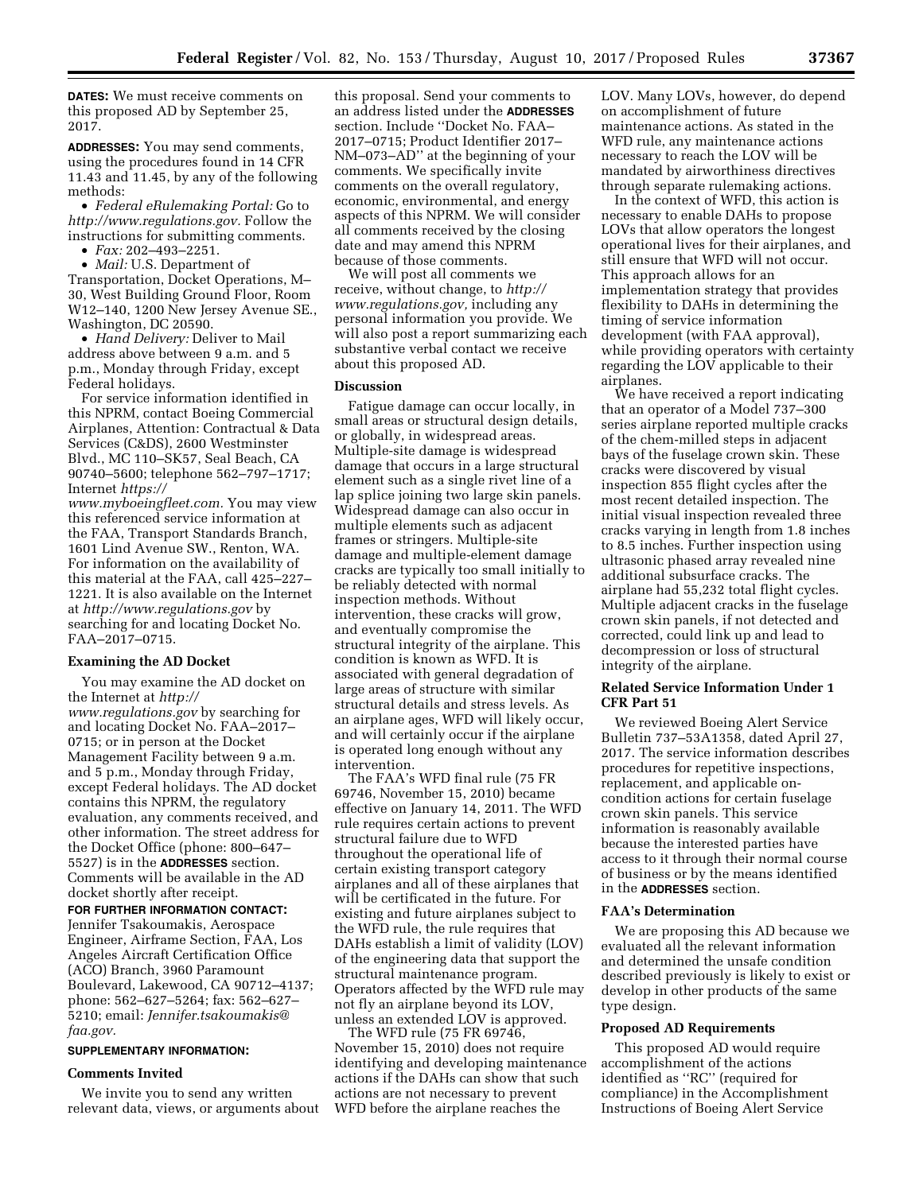**DATES:** We must receive comments on this proposed AD by September 25, 2017.

**ADDRESSES:** You may send comments, using the procedures found in 14 CFR 11.43 and 11.45, by any of the following methods:

• *Federal eRulemaking Portal:* Go to *[http://www.regulations.gov.](http://www.regulations.gov)* Follow the instructions for submitting comments.

• *Fax:* 202–493–2251.

• *Mail:* U.S. Department of Transportation, Docket Operations, M– 30, West Building Ground Floor, Room W12–140, 1200 New Jersey Avenue SE., Washington, DC 20590.

• *Hand Delivery:* Deliver to Mail address above between 9 a.m. and 5 p.m., Monday through Friday, except Federal holidays.

For service information identified in this NPRM, contact Boeing Commercial Airplanes, Attention: Contractual & Data Services (C&DS), 2600 Westminster Blvd., MC 110–SK57, Seal Beach, CA 90740–5600; telephone 562–797–1717; Internet *[https://](https://www.myboeingfleet.com)*

*[www.myboeingfleet.com.](https://www.myboeingfleet.com)* You may view this referenced service information at the FAA, Transport Standards Branch, 1601 Lind Avenue SW., Renton, WA. For information on the availability of this material at the FAA, call 425–227– 1221. It is also available on the Internet at *<http://www.regulations.gov>* by searching for and locating Docket No. FAA–2017–0715.

### **Examining the AD Docket**

You may examine the AD docket on the Internet at *[http://](http://www.regulations.gov) [www.regulations.gov](http://www.regulations.gov)* by searching for and locating Docket No. FAA–2017– 0715; or in person at the Docket Management Facility between 9 a.m. and 5 p.m., Monday through Friday, except Federal holidays. The AD docket contains this NPRM, the regulatory evaluation, any comments received, and other information. The street address for the Docket Office (phone: 800–647– 5527) is in the **ADDRESSES** section. Comments will be available in the AD docket shortly after receipt.

# **FOR FURTHER INFORMATION CONTACT:**

Jennifer Tsakoumakis, Aerospace Engineer, Airframe Section, FAA, Los Angeles Aircraft Certification Office (ACO) Branch, 3960 Paramount Boulevard, Lakewood, CA 90712–4137; phone: 562–627–5264; fax: 562–627– 5210; email: *[Jennifer.tsakoumakis@](mailto:Jennifer.tsakoumakis@faa.gov) [faa.gov.](mailto:Jennifer.tsakoumakis@faa.gov)* 

# **SUPPLEMENTARY INFORMATION:**

#### **Comments Invited**

We invite you to send any written relevant data, views, or arguments about this proposal. Send your comments to an address listed under the **ADDRESSES** section. Include ''Docket No. FAA– 2017–0715; Product Identifier 2017– NM–073–AD'' at the beginning of your comments. We specifically invite comments on the overall regulatory, economic, environmental, and energy aspects of this NPRM. We will consider all comments received by the closing date and may amend this NPRM because of those comments.

We will post all comments we receive, without change, to *[http://](http://www.regulations.gov) [www.regulations.gov,](http://www.regulations.gov)* including any personal information you provide. We will also post a report summarizing each substantive verbal contact we receive about this proposed AD.

## **Discussion**

Fatigue damage can occur locally, in small areas or structural design details, or globally, in widespread areas. Multiple-site damage is widespread damage that occurs in a large structural element such as a single rivet line of a lap splice joining two large skin panels. Widespread damage can also occur in multiple elements such as adjacent frames or stringers. Multiple-site damage and multiple-element damage cracks are typically too small initially to be reliably detected with normal inspection methods. Without intervention, these cracks will grow, and eventually compromise the structural integrity of the airplane. This condition is known as WFD. It is associated with general degradation of large areas of structure with similar structural details and stress levels. As an airplane ages, WFD will likely occur, and will certainly occur if the airplane is operated long enough without any intervention.

The FAA's WFD final rule (75 FR 69746, November 15, 2010) became effective on January 14, 2011. The WFD rule requires certain actions to prevent structural failure due to WFD throughout the operational life of certain existing transport category airplanes and all of these airplanes that will be certificated in the future. For existing and future airplanes subject to the WFD rule, the rule requires that DAHs establish a limit of validity (LOV) of the engineering data that support the structural maintenance program. Operators affected by the WFD rule may not fly an airplane beyond its LOV, unless an extended LOV is approved.

The WFD rule (75 FR 69746, November 15, 2010) does not require identifying and developing maintenance actions if the DAHs can show that such actions are not necessary to prevent WFD before the airplane reaches the

LOV. Many LOVs, however, do depend on accomplishment of future maintenance actions. As stated in the WFD rule, any maintenance actions necessary to reach the LOV will be mandated by airworthiness directives through separate rulemaking actions.

In the context of WFD, this action is necessary to enable DAHs to propose LOVs that allow operators the longest operational lives for their airplanes, and still ensure that WFD will not occur. This approach allows for an implementation strategy that provides flexibility to DAHs in determining the timing of service information development (with FAA approval), while providing operators with certainty regarding the LOV applicable to their airplanes.

We have received a report indicating that an operator of a Model 737–300 series airplane reported multiple cracks of the chem-milled steps in adjacent bays of the fuselage crown skin. These cracks were discovered by visual inspection 855 flight cycles after the most recent detailed inspection. The initial visual inspection revealed three cracks varying in length from 1.8 inches to 8.5 inches. Further inspection using ultrasonic phased array revealed nine additional subsurface cracks. The airplane had 55,232 total flight cycles. Multiple adjacent cracks in the fuselage crown skin panels, if not detected and corrected, could link up and lead to decompression or loss of structural integrity of the airplane.

## **Related Service Information Under 1 CFR Part 51**

We reviewed Boeing Alert Service Bulletin 737–53A1358, dated April 27, 2017. The service information describes procedures for repetitive inspections, replacement, and applicable oncondition actions for certain fuselage crown skin panels. This service information is reasonably available because the interested parties have access to it through their normal course of business or by the means identified in the **ADDRESSES** section.

### **FAA's Determination**

We are proposing this AD because we evaluated all the relevant information and determined the unsafe condition described previously is likely to exist or develop in other products of the same type design.

#### **Proposed AD Requirements**

This proposed AD would require accomplishment of the actions identified as ''RC'' (required for compliance) in the Accomplishment Instructions of Boeing Alert Service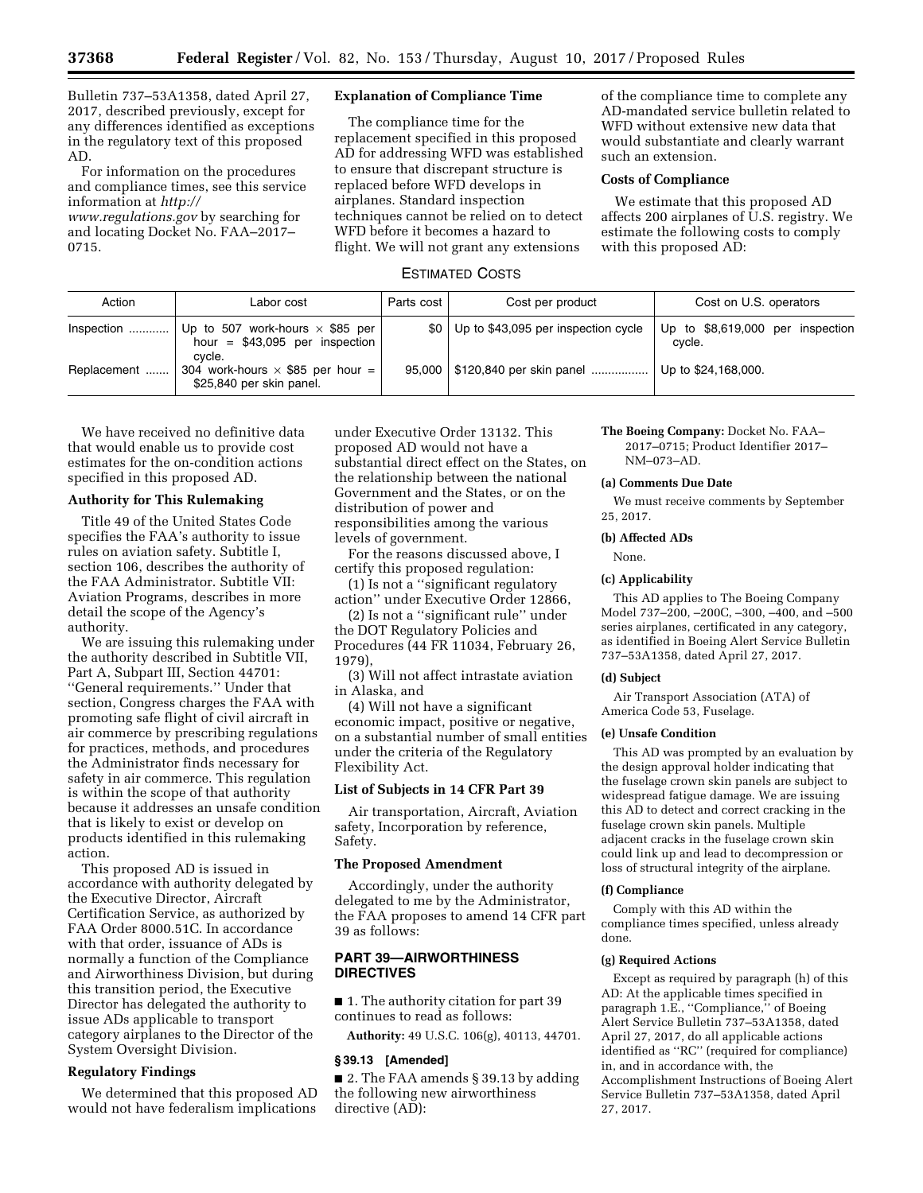Bulletin 737–53A1358, dated April 27, 2017, described previously, except for any differences identified as exceptions in the regulatory text of this proposed AD.

For information on the procedures and compliance times, see this service information at *[http://](http://www.regulations.gov)*

*[www.regulations.gov](http://www.regulations.gov)* by searching for and locating Docket No. FAA–2017– 0715.

## **Explanation of Compliance Time**

The compliance time for the replacement specified in this proposed AD for addressing WFD was established to ensure that discrepant structure is replaced before WFD develops in airplanes. Standard inspection techniques cannot be relied on to detect WFD before it becomes a hazard to flight. We will not grant any extensions

of the compliance time to complete any AD-mandated service bulletin related to WFD without extensive new data that would substantiate and clearly warrant such an extension.

# **Costs of Compliance**

We estimate that this proposed AD affects 200 airplanes of U.S. registry. We estimate the following costs to comply with this proposed AD:

# ESTIMATED COSTS

| Action      | Labor cost                                                                    | Parts cost       | Cost per product                    | Cost on U.S. operators                     |
|-------------|-------------------------------------------------------------------------------|------------------|-------------------------------------|--------------------------------------------|
| Inspection  | Up to 507 work-hours $\times$ \$85 per<br>hour = $$43,095$ per inspection     | \$0 <sub>1</sub> | Up to \$43,095 per inspection cycle | Up to \$8,619,000 per inspection<br>cvcle. |
| Replacement | cvcle.<br>304 work-hours $\times$ \$85 per hour =<br>\$25,840 per skin panel. | 95.000           | \$120,840 per skin panel            | Up to \$24,168,000.                        |

We have received no definitive data that would enable us to provide cost estimates for the on-condition actions specified in this proposed AD.

# **Authority for This Rulemaking**

Title 49 of the United States Code specifies the FAA's authority to issue rules on aviation safety. Subtitle I, section 106, describes the authority of the FAA Administrator. Subtitle VII: Aviation Programs, describes in more detail the scope of the Agency's authority.

We are issuing this rulemaking under the authority described in Subtitle VII, Part A, Subpart III, Section 44701: ''General requirements.'' Under that section, Congress charges the FAA with promoting safe flight of civil aircraft in air commerce by prescribing regulations for practices, methods, and procedures the Administrator finds necessary for safety in air commerce. This regulation is within the scope of that authority because it addresses an unsafe condition that is likely to exist or develop on products identified in this rulemaking action.

This proposed AD is issued in accordance with authority delegated by the Executive Director, Aircraft Certification Service, as authorized by FAA Order 8000.51C. In accordance with that order, issuance of ADs is normally a function of the Compliance and Airworthiness Division, but during this transition period, the Executive Director has delegated the authority to issue ADs applicable to transport category airplanes to the Director of the System Oversight Division.

## **Regulatory Findings**

We determined that this proposed AD would not have federalism implications

under Executive Order 13132. This proposed AD would not have a substantial direct effect on the States, on the relationship between the national Government and the States, or on the distribution of power and responsibilities among the various levels of government.

For the reasons discussed above, I certify this proposed regulation:

(1) Is not a ''significant regulatory action'' under Executive Order 12866,

(2) Is not a ''significant rule'' under the DOT Regulatory Policies and Procedures (44 FR 11034, February 26, 1979),

(3) Will not affect intrastate aviation in Alaska, and

(4) Will not have a significant economic impact, positive or negative, on a substantial number of small entities under the criteria of the Regulatory Flexibility Act.

#### **List of Subjects in 14 CFR Part 39**

Air transportation, Aircraft, Aviation safety, Incorporation by reference, Safety.

#### **The Proposed Amendment**

Accordingly, under the authority delegated to me by the Administrator, the FAA proposes to amend 14 CFR part 39 as follows:

# **PART 39—AIRWORTHINESS DIRECTIVES**

■ 1. The authority citation for part 39 continues to read as follows:

**Authority:** 49 U.S.C. 106(g), 40113, 44701.

### **§ 39.13 [Amended]**

■ 2. The FAA amends § 39.13 by adding the following new airworthiness directive (AD):

**The Boeing Company:** Docket No. FAA– 2017–0715; Product Identifier 2017– NM–073–AD.

# **(a) Comments Due Date**

We must receive comments by September 25, 2017.

### **(b) Affected ADs**

None.

### **(c) Applicability**

This AD applies to The Boeing Company Model 737–200, –200C, –300, –400, and –500 series airplanes, certificated in any category, as identified in Boeing Alert Service Bulletin 737–53A1358, dated April 27, 2017.

#### **(d) Subject**

Air Transport Association (ATA) of America Code 53, Fuselage.

#### **(e) Unsafe Condition**

This AD was prompted by an evaluation by the design approval holder indicating that the fuselage crown skin panels are subject to widespread fatigue damage. We are issuing this AD to detect and correct cracking in the fuselage crown skin panels. Multiple adjacent cracks in the fuselage crown skin could link up and lead to decompression or loss of structural integrity of the airplane.

#### **(f) Compliance**

Comply with this AD within the compliance times specified, unless already done.

### **(g) Required Actions**

Except as required by paragraph (h) of this AD: At the applicable times specified in paragraph 1.E., "Compliance," of Boeing Alert Service Bulletin 737–53A1358, dated April 27, 2017, do all applicable actions identified as ''RC'' (required for compliance) in, and in accordance with, the Accomplishment Instructions of Boeing Alert Service Bulletin 737–53A1358, dated April 27, 2017.